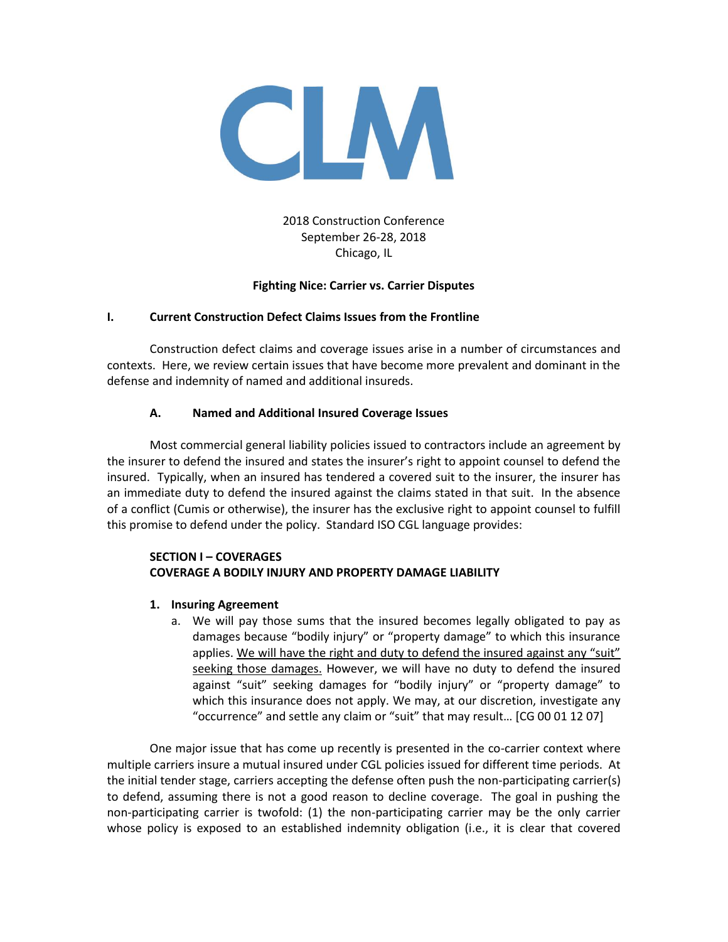

2018 Construction Conference September 26-28, 2018 Chicago, IL

# **Fighting Nice: Carrier vs. Carrier Disputes**

## **I. Current Construction Defect Claims Issues from the Frontline**

Construction defect claims and coverage issues arise in a number of circumstances and contexts. Here, we review certain issues that have become more prevalent and dominant in the defense and indemnity of named and additional insureds.

# **A. Named and Additional Insured Coverage Issues**

Most commercial general liability policies issued to contractors include an agreement by the insurer to defend the insured and states the insurer's right to appoint counsel to defend the insured. Typically, when an insured has tendered a covered suit to the insurer, the insurer has an immediate duty to defend the insured against the claims stated in that suit. In the absence of a conflict (Cumis or otherwise), the insurer has the exclusive right to appoint counsel to fulfill this promise to defend under the policy. Standard ISO CGL language provides:

# **SECTION I – COVERAGES COVERAGE A BODILY INJURY AND PROPERTY DAMAGE LIABILITY**

- **1. Insuring Agreement**
	- a. We will pay those sums that the insured becomes legally obligated to pay as damages because "bodily injury" or "property damage" to which this insurance applies. We will have the right and duty to defend the insured against any "suit" seeking those damages. However, we will have no duty to defend the insured against "suit" seeking damages for "bodily injury" or "property damage" to which this insurance does not apply. We may, at our discretion, investigate any "occurrence" and settle any claim or "suit" that may result… [CG 00 01 12 07]

One major issue that has come up recently is presented in the co-carrier context where multiple carriers insure a mutual insured under CGL policies issued for different time periods. At the initial tender stage, carriers accepting the defense often push the non-participating carrier(s) to defend, assuming there is not a good reason to decline coverage. The goal in pushing the non-participating carrier is twofold: (1) the non-participating carrier may be the only carrier whose policy is exposed to an established indemnity obligation (i.e., it is clear that covered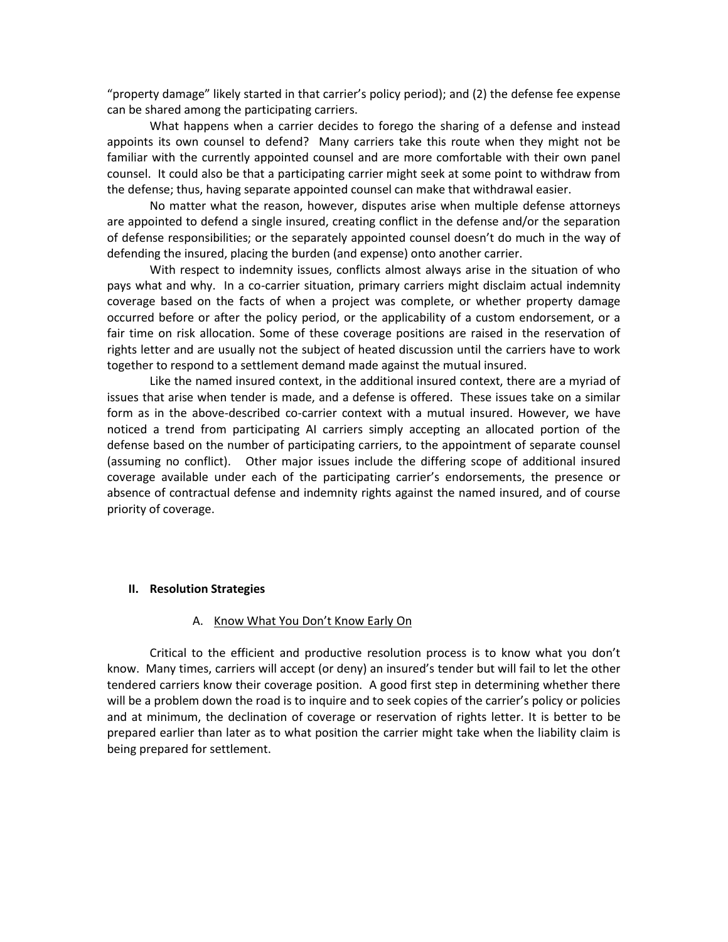"property damage" likely started in that carrier's policy period); and (2) the defense fee expense can be shared among the participating carriers.

What happens when a carrier decides to forego the sharing of a defense and instead appoints its own counsel to defend? Many carriers take this route when they might not be familiar with the currently appointed counsel and are more comfortable with their own panel counsel. It could also be that a participating carrier might seek at some point to withdraw from the defense; thus, having separate appointed counsel can make that withdrawal easier.

No matter what the reason, however, disputes arise when multiple defense attorneys are appointed to defend a single insured, creating conflict in the defense and/or the separation of defense responsibilities; or the separately appointed counsel doesn't do much in the way of defending the insured, placing the burden (and expense) onto another carrier.

With respect to indemnity issues, conflicts almost always arise in the situation of who pays what and why. In a co-carrier situation, primary carriers might disclaim actual indemnity coverage based on the facts of when a project was complete, or whether property damage occurred before or after the policy period, or the applicability of a custom endorsement, or a fair time on risk allocation. Some of these coverage positions are raised in the reservation of rights letter and are usually not the subject of heated discussion until the carriers have to work together to respond to a settlement demand made against the mutual insured.

Like the named insured context, in the additional insured context, there are a myriad of issues that arise when tender is made, and a defense is offered. These issues take on a similar form as in the above-described co-carrier context with a mutual insured. However, we have noticed a trend from participating AI carriers simply accepting an allocated portion of the defense based on the number of participating carriers, to the appointment of separate counsel (assuming no conflict). Other major issues include the differing scope of additional insured coverage available under each of the participating carrier's endorsements, the presence or absence of contractual defense and indemnity rights against the named insured, and of course priority of coverage.

#### **II. Resolution Strategies**

#### A. Know What You Don't Know Early On

Critical to the efficient and productive resolution process is to know what you don't know. Many times, carriers will accept (or deny) an insured's tender but will fail to let the other tendered carriers know their coverage position. A good first step in determining whether there will be a problem down the road is to inquire and to seek copies of the carrier's policy or policies and at minimum, the declination of coverage or reservation of rights letter. It is better to be prepared earlier than later as to what position the carrier might take when the liability claim is being prepared for settlement.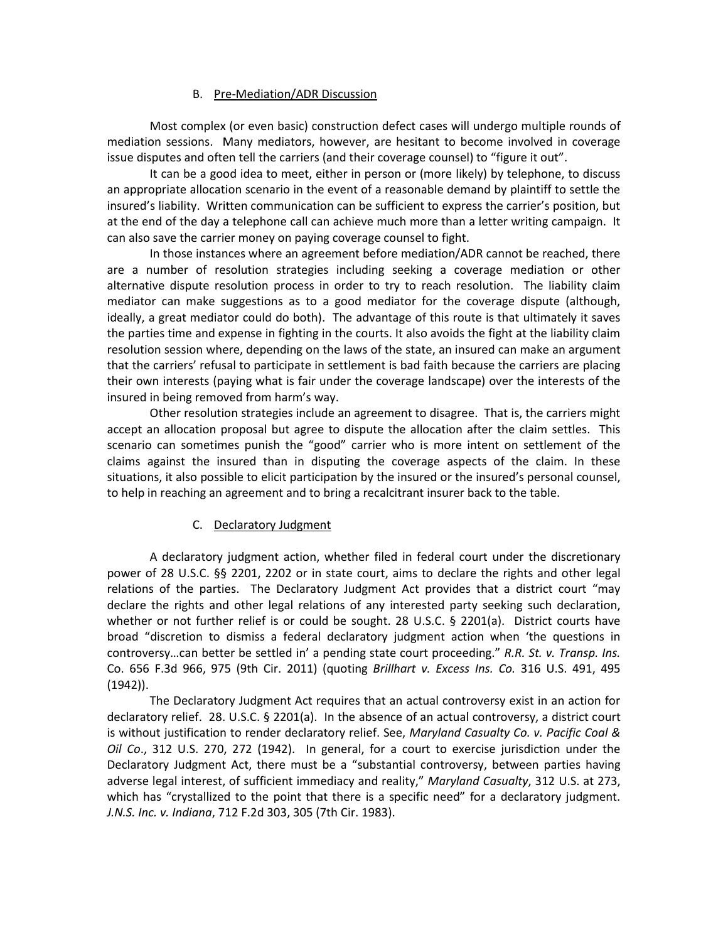### B. Pre-Mediation/ADR Discussion

Most complex (or even basic) construction defect cases will undergo multiple rounds of mediation sessions. Many mediators, however, are hesitant to become involved in coverage issue disputes and often tell the carriers (and their coverage counsel) to "figure it out".

It can be a good idea to meet, either in person or (more likely) by telephone, to discuss an appropriate allocation scenario in the event of a reasonable demand by plaintiff to settle the insured's liability. Written communication can be sufficient to express the carrier's position, but at the end of the day a telephone call can achieve much more than a letter writing campaign. It can also save the carrier money on paying coverage counsel to fight.

In those instances where an agreement before mediation/ADR cannot be reached, there are a number of resolution strategies including seeking a coverage mediation or other alternative dispute resolution process in order to try to reach resolution. The liability claim mediator can make suggestions as to a good mediator for the coverage dispute (although, ideally, a great mediator could do both). The advantage of this route is that ultimately it saves the parties time and expense in fighting in the courts. It also avoids the fight at the liability claim resolution session where, depending on the laws of the state, an insured can make an argument that the carriers' refusal to participate in settlement is bad faith because the carriers are placing their own interests (paying what is fair under the coverage landscape) over the interests of the insured in being removed from harm's way.

Other resolution strategies include an agreement to disagree. That is, the carriers might accept an allocation proposal but agree to dispute the allocation after the claim settles. This scenario can sometimes punish the "good" carrier who is more intent on settlement of the claims against the insured than in disputing the coverage aspects of the claim. In these situations, it also possible to elicit participation by the insured or the insured's personal counsel, to help in reaching an agreement and to bring a recalcitrant insurer back to the table.

# C. Declaratory Judgment

A declaratory judgment action, whether filed in federal court under the discretionary power of 28 U.S.C. §§ 2201, 2202 or in state court, aims to declare the rights and other legal relations of the parties. The Declaratory Judgment Act provides that a district court "may declare the rights and other legal relations of any interested party seeking such declaration, whether or not further relief is or could be sought. 28 U.S.C. § 2201(a). District courts have broad "discretion to dismiss a federal declaratory judgment action when 'the questions in controversy…can better be settled in' a pending state court proceeding." *R.R. St. v. Transp. Ins.* Co. 656 F.3d 966, 975 (9th Cir. 2011) (quoting *Brillhart v. Excess Ins. Co.* 316 U.S. 491, 495 (1942)).

The Declaratory Judgment Act requires that an actual controversy exist in an action for declaratory relief. 28. U.S.C. § 2201(a). In the absence of an actual controversy, a district court is without justification to render declaratory relief. See, *Maryland Casualty Co. v. Pacific Coal & Oil Co*., 312 U.S. 270, 272 (1942). In general, for a court to exercise jurisdiction under the Declaratory Judgment Act, there must be a "substantial controversy, between parties having adverse legal interest, of sufficient immediacy and reality," *Maryland Casualty*, 312 U.S. at 273, which has "crystallized to the point that there is a specific need" for a declaratory judgment. *J.N.S. Inc. v. Indiana*, 712 F.2d 303, 305 (7th Cir. 1983).